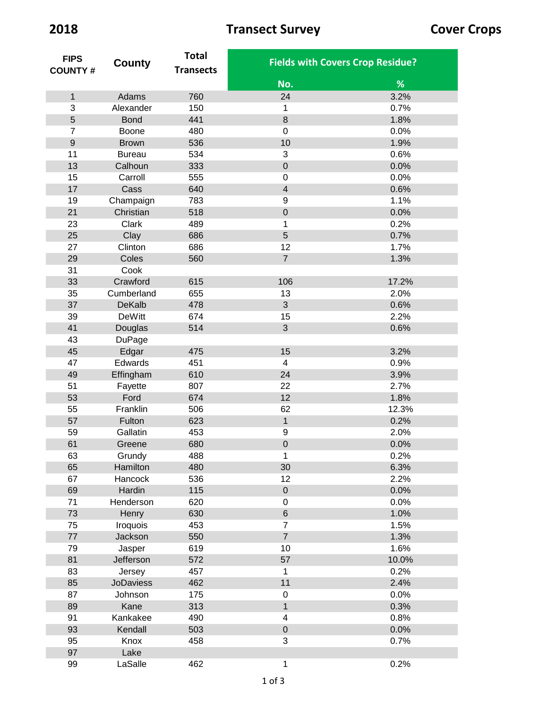| <b>FIPS</b>    |                  | <b>Total</b>     | <b>Fields with Covers Crop Residue?</b> |       |
|----------------|------------------|------------------|-----------------------------------------|-------|
| <b>COUNTY#</b> | County           | <b>Transects</b> |                                         |       |
|                |                  |                  | No.                                     | %     |
| $\mathbf{1}$   | Adams            | 760              | 24                                      | 3.2%  |
| 3              | Alexander        | 150              | 1                                       | 0.7%  |
| 5              | <b>Bond</b>      | 441              | $\,8\,$                                 | 1.8%  |
| $\overline{7}$ | Boone            | 480              | $\mathbf 0$                             | 0.0%  |
| $\mathsf g$    | <b>Brown</b>     | 536              | 10                                      | 1.9%  |
| 11             | <b>Bureau</b>    | 534              | 3                                       | 0.6%  |
| 13             | Calhoun          | 333              | $\boldsymbol{0}$                        | 0.0%  |
| 15             | Carroll          | 555              | $\mathbf 0$                             | 0.0%  |
| 17             | Cass             | 640              | $\overline{4}$                          | 0.6%  |
| 19             | Champaign        | 783              | $\boldsymbol{9}$                        | 1.1%  |
| 21             | Christian        | 518              | $\mathbf 0$                             | 0.0%  |
| 23             | Clark            | 489              | 1                                       | 0.2%  |
| 25             | Clay             | 686              | 5                                       | 0.7%  |
| 27             | Clinton          | 686              | 12                                      | 1.7%  |
| 29             | Coles            | 560              | $\overline{7}$                          | 1.3%  |
| 31             | Cook             |                  |                                         |       |
| 33             | Crawford         | 615              | 106                                     | 17.2% |
| 35             | Cumberland       | 655              | 13                                      | 2.0%  |
| 37             | <b>DeKalb</b>    | 478              | 3                                       | 0.6%  |
| 39             | <b>DeWitt</b>    | 674              | 15                                      | 2.2%  |
| 41             | Douglas          | 514              | $\overline{3}$                          | 0.6%  |
| 43             | <b>DuPage</b>    |                  |                                         |       |
| 45             | Edgar            | 475              | 15                                      | 3.2%  |
| 47             | Edwards          | 451              | 4                                       | 0.9%  |
| 49             | Effingham        | 610              | 24                                      | 3.9%  |
| 51             | Fayette          | 807              | 22                                      | 2.7%  |
| 53             | Ford             | 674              | 12                                      | 1.8%  |
| 55             | Franklin         | 506              | 62                                      | 12.3% |
| 57             | Fulton           | 623              | $\mathbf 1$                             | 0.2%  |
| 59             | Gallatin         | 453              | $\boldsymbol{9}$                        | 2.0%  |
| 61             | Greene           | 680              | $\mathbf 0$                             | 0.0%  |
| 63             | Grundy           | 488              | 1                                       | 0.2%  |
| 65             | Hamilton         | 480              | 30                                      | 6.3%  |
| 67             | Hancock          | 536              | 12                                      | 2.2%  |
| 69             | Hardin           | 115              | $\pmb{0}$                               | 0.0%  |
| 71             | Henderson        | 620              | $\pmb{0}$                               | 0.0%  |
| 73             | Henry            | 630              | $6\phantom{a}$                          | 1.0%  |
| 75             | Iroquois         | 453              | $\overline{7}$                          | 1.5%  |
| 77             | Jackson          | 550              | $\overline{7}$                          | 1.3%  |
| 79             | Jasper           | 619              | 10                                      | 1.6%  |
| 81             | Jefferson        | 572              | 57                                      | 10.0% |
|                |                  |                  |                                         |       |
| 83             | Jersey           | 457              | 1<br>11                                 | 0.2%  |
| 85             | <b>JoDaviess</b> | 462              |                                         | 2.4%  |
| 87             | Johnson          | 175              | $\pmb{0}$<br>$\mathbf{1}$               | 0.0%  |
| 89             | Kane             | 313              |                                         | 0.3%  |
| 91             | Kankakee         | 490              | $\overline{\mathbf{4}}$                 | 0.8%  |
| 93             | Kendall          | 503              | $\mathbf 0$<br>3                        | 0.0%  |
| 95             | Knox             | 458              |                                         | 0.7%  |
| 97             | Lake             |                  |                                         |       |
| 99             | LaSalle          | 462              | $\mathbf{1}$                            | 0.2%  |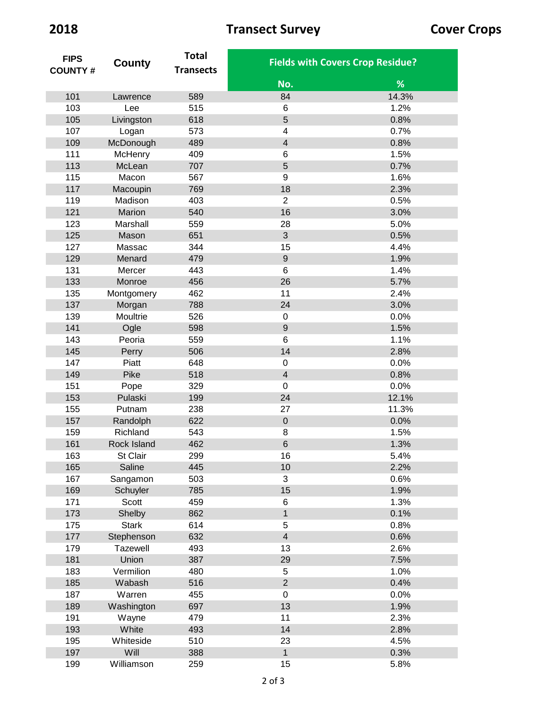| <b>FIPS</b>    | County       | <b>Total</b>     | <b>Fields with Covers Crop Residue?</b> |       |
|----------------|--------------|------------------|-----------------------------------------|-------|
| <b>COUNTY#</b> |              | <b>Transects</b> |                                         |       |
|                |              |                  | No.                                     | %     |
| 101            | Lawrence     | 589              | 84                                      | 14.3% |
| 103            | Lee          | 515              | 6                                       | 1.2%  |
| 105            | Livingston   | 618              | 5                                       | 0.8%  |
| 107            | Logan        | 573              | 4                                       | 0.7%  |
| 109            | McDonough    | 489              | $\overline{\mathbf{4}}$                 | 0.8%  |
| 111            | McHenry      | 409              | 6                                       | 1.5%  |
| 113            | McLean       | 707              | 5                                       | 0.7%  |
| 115            | Macon        | 567              | 9                                       | 1.6%  |
| 117            | Macoupin     | 769              | 18                                      | 2.3%  |
| 119            | Madison      | 403              | $\overline{2}$                          | 0.5%  |
| 121            | Marion       | 540              | 16                                      | 3.0%  |
| 123            | Marshall     | 559              | 28                                      | 5.0%  |
| 125            | Mason        | 651              | 3                                       | 0.5%  |
| 127            | Massac       | 344              | 15                                      | 4.4%  |
| 129            | Menard       | 479              | $\mathsf g$                             | 1.9%  |
| 131            | Mercer       | 443              | 6                                       | 1.4%  |
| 133            | Monroe       | 456              | 26                                      | 5.7%  |
| 135            | Montgomery   | 462              | 11                                      | 2.4%  |
| 137            | Morgan       | 788              | 24                                      | 3.0%  |
| 139            | Moultrie     | 526              | $\mathbf 0$                             | 0.0%  |
| 141            | Ogle         | 598              | 9                                       | 1.5%  |
| 143            | Peoria       | 559              | 6                                       | 1.1%  |
| 145            | Perry        | 506              | 14                                      | 2.8%  |
| 147            | Piatt        | 648              | $\mathbf 0$                             | 0.0%  |
| 149            | Pike         | 518              | $\overline{\mathbf{4}}$                 | 0.8%  |
| 151            | Pope         | 329              | $\mathbf 0$                             | 0.0%  |
| 153            | Pulaski      | 199              | 24                                      | 12.1% |
| 155            | Putnam       | 238              | 27                                      | 11.3% |
| 157            | Randolph     | 622              | $\mathbf 0$                             | 0.0%  |
| 159            | Richland     | 543              | 8                                       | 1.5%  |
| 161            | Rock Island  | 462              | 6                                       | 1.3%  |
| 163            | St Clair     | 299              | 16                                      | 5.4%  |
| 165            | Saline       | 445              | 10                                      | 2.2%  |
| 167            | Sangamon     | 503              | 3                                       | 0.6%  |
| 169            | Schuyler     | 785              | 15                                      | 1.9%  |
| 171            | Scott        | 459              | 6                                       | 1.3%  |
| 173            | Shelby       | 862              | $\mathbf{1}$                            | 0.1%  |
| 175            | <b>Stark</b> | 614              | 5                                       | 0.8%  |
| 177            | Stephenson   | 632              | $\overline{4}$                          | 0.6%  |
| 179            | Tazewell     | 493              | 13                                      | 2.6%  |
| 181            | Union        | 387              | 29                                      | 7.5%  |
| 183            | Vermilion    | 480              | 5                                       | 1.0%  |
| 185            | Wabash       | 516              | $\overline{2}$                          | 0.4%  |
| 187            | Warren       | 455              | 0                                       | 0.0%  |
| 189            | Washington   | 697              | 13                                      | 1.9%  |
| 191            | Wayne        | 479              | 11                                      | 2.3%  |
| 193            | White        | 493              | 14                                      | 2.8%  |
| 195            | Whiteside    | 510              | 23                                      | 4.5%  |
| 197            | Will         | 388              | $\mathbf{1}$                            | 0.3%  |
| 199            | Williamson   | 259              | 15                                      | 5.8%  |